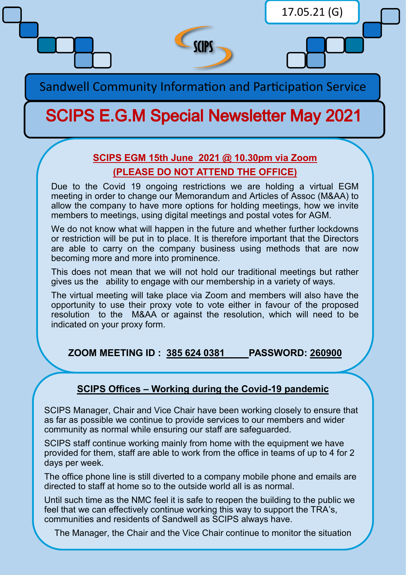

Sandwell Community Information and Participation Service

## **SCIPS E.G.M Special Newsletter May 2021**

## **SCIPS EGM 15th June 2021 @ 10.30pm via Zoom (PLEASE DO NOT ATTEND THE OFFICE)**

Due to the Covid 19 ongoing restrictions we are holding a virtual EGM meeting in order to change our Memorandum and Articles of Assoc (M&AA) to allow the company to have more options for holding meetings, how we invite members to meetings, using digital meetings and postal votes for AGM.

We do not know what will happen in the future and whether further lockdowns or restriction will be put in to place. It is therefore important that the Directors are able to carry on the company business using methods that are now becoming more and more into prominence.

This does not mean that we will not hold our traditional meetings but rather gives us the ability to engage with our membership in a variety of ways.

The virtual meeting will take place via Zoom and members will also have the opportunity to use their proxy vote to vote either in favour of the proposed resolution to the M&AA or against the resolution, which will need to be indicated on your proxy form.

**ZOOM MEETING ID : 385 624 0381 PASSWORD: 260900**

## **SCIPS Offices – Working during the Covid-19 pandemic**

SCIPS Manager, Chair and Vice Chair have been working closely to ensure that as far as possible we continue to provide services to our members and wider community as normal while ensuring our staff are safeguarded.

SCIPS staff continue working mainly from home with the equipment we have provided for them, staff are able to work from the office in teams of up to 4 for 2 days per week.

The office phone line is still diverted to a company mobile phone and emails are directed to staff at home so to the outside world all is as normal.

Until such time as the NMC feel it is safe to reopen the building to the public we feel that we can effectively continue working this way to support the TRA's, communities and residents of Sandwell as SCIPS always have.

The Manager, the Chair and the Vice Chair continue to monitor the situation